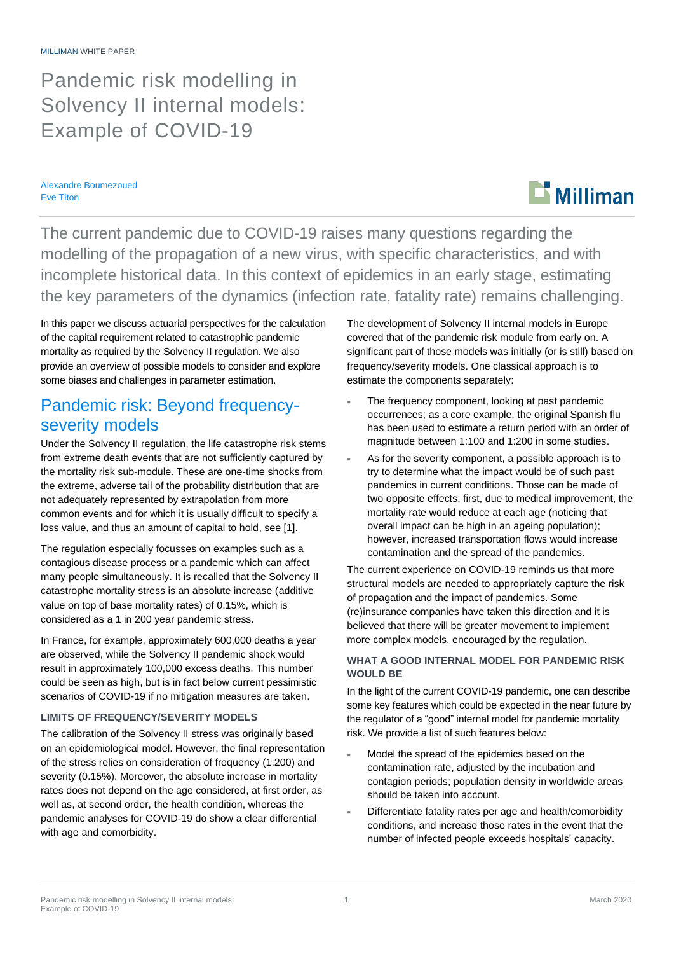Pandemic risk modelling in Solvency II internal models: Example of COVID-19

Alexandre Boumezoued Eve Titon

# $\mathbf{L}$  Milliman

The current pandemic due to COVID-19 raises many questions regarding the modelling of the propagation of a new virus, with specific characteristics, and with incomplete historical data. In this context of epidemics in an early stage, estimating the key parameters of the dynamics (infection rate, fatality rate) remains challenging.

In this paper we discuss actuarial perspectives for the calculation of the capital requirement related to catastrophic pandemic mortality as required by the Solvency II regulation. We also provide an overview of possible models to consider and explore some biases and challenges in parameter estimation.

# Pandemic risk: Beyond frequencyseverity models

Under the Solvency II regulation, the life catastrophe risk stems from extreme death events that are not sufficiently captured by the mortality risk sub-module. These are one-time shocks from the extreme, adverse tail of the probability distribution that are not adequately represented by extrapolation from more common events and for which it is usually difficult to specify a loss value, and thus an amount of capital to hold, see [1].

The regulation especially focusses on examples such as a contagious disease process or a pandemic which can affect many people simultaneously. It is recalled that the Solvency II catastrophe mortality stress is an absolute increase (additive value on top of base mortality rates) of 0.15%, which is considered as a 1 in 200 year pandemic stress.

In France, for example, approximately 600,000 deaths a year are observed, while the Solvency II pandemic shock would result in approximately 100,000 excess deaths. This number could be seen as high, but is in fact below current pessimistic scenarios of COVID-19 if no mitigation measures are taken.

### **LIMITS OF FREQUENCY/SEVERITY MODELS**

The calibration of the Solvency II stress was originally based on an epidemiological model. However, the final representation of the stress relies on consideration of frequency (1:200) and severity (0.15%). Moreover, the absolute increase in mortality rates does not depend on the age considered, at first order, as well as, at second order, the health condition, whereas the pandemic analyses for COVID-19 do show a clear differential with age and comorbidity.

The development of Solvency II internal models in Europe covered that of the pandemic risk module from early on. A significant part of those models was initially (or is still) based on frequency/severity models. One classical approach is to estimate the components separately:

- The frequency component, looking at past pandemic occurrences; as a core example, the original Spanish flu has been used to estimate a return period with an order of magnitude between 1:100 and 1:200 in some studies.
- As for the severity component, a possible approach is to try to determine what the impact would be of such past pandemics in current conditions. Those can be made of two opposite effects: first, due to medical improvement, the mortality rate would reduce at each age (noticing that overall impact can be high in an ageing population); however, increased transportation flows would increase contamination and the spread of the pandemics.

The current experience on COVID-19 reminds us that more structural models are needed to appropriately capture the risk of propagation and the impact of pandemics. Some (re)insurance companies have taken this direction and it is believed that there will be greater movement to implement more complex models, encouraged by the regulation.

### **WHAT A GOOD INTERNAL MODEL FOR PANDEMIC RISK WOULD BE**

In the light of the current COVID-19 pandemic, one can describe some key features which could be expected in the near future by the regulator of a "good" internal model for pandemic mortality risk. We provide a list of such features below:

- Model the spread of the epidemics based on the contamination rate, adjusted by the incubation and contagion periods; population density in worldwide areas should be taken into account.
- Differentiate fatality rates per age and health/comorbidity conditions, and increase those rates in the event that the number of infected people exceeds hospitals' capacity.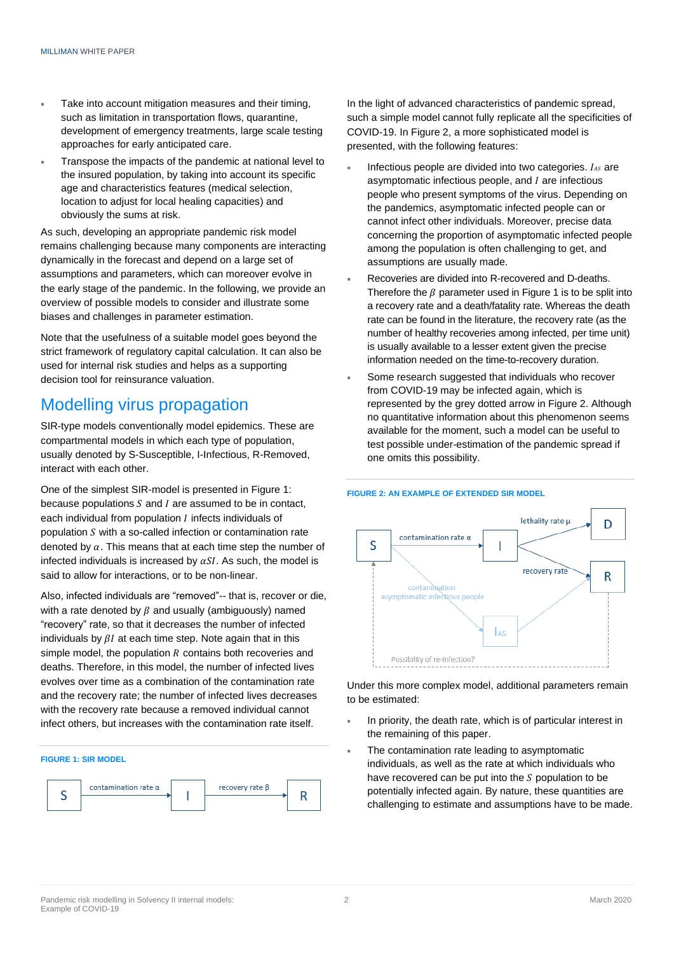- Take into account mitigation measures and their timing, such as limitation in transportation flows, quarantine, development of emergency treatments, large scale testing approaches for early anticipated care.
- Transpose the impacts of the pandemic at national level to the insured population, by taking into account its specific age and characteristics features (medical selection, location to adjust for local healing capacities) and obviously the sums at risk.

As such, developing an appropriate pandemic risk model remains challenging because many components are interacting dynamically in the forecast and depend on a large set of assumptions and parameters, which can moreover evolve in the early stage of the pandemic. In the following, we provide an overview of possible models to consider and illustrate some biases and challenges in parameter estimation.

Note that the usefulness of a suitable model goes beyond the strict framework of regulatory capital calculation. It can also be used for internal risk studies and helps as a supporting decision tool for reinsurance valuation.

# Modelling virus propagation

SIR-type models conventionally model epidemics. These are compartmental models in which each type of population, usually denoted by S-Susceptible, I-Infectious, R-Removed, interact with each other.

One of the simplest SIR-model is presented in Figure 1: because populations  $S$  and  $I$  are assumed to be in contact, each individual from population  $I$  infects individuals of population  $S$  with a so-called infection or contamination rate denoted by  $\alpha$ . This means that at each time step the number of infected individuals is increased by  $\alpha SI$ . As such, the model is said to allow for interactions, or to be non-linear.

Also, infected individuals are "removed"-- that is, recover or die, with a rate denoted by  $\beta$  and usually (ambiguously) named "recovery" rate, so that it decreases the number of infected individuals by  $\beta I$  at each time step. Note again that in this simple model, the population  $R$  contains both recoveries and deaths. Therefore, in this model, the number of infected lives evolves over time as a combination of the contamination rate and the recovery rate; the number of infected lives decreases with the recovery rate because a removed individual cannot infect others, but increases with the contamination rate itself.



In the light of advanced characteristics of pandemic spread, such a simple model cannot fully replicate all the specificities of COVID-19. In Figure 2, a more sophisticated model is presented, with the following features:

- Infectious people are divided into two categories.  $I_{AS}$  are asymptomatic infectious people, and  $I$  are infectious people who present symptoms of the virus. Depending on the pandemics, asymptomatic infected people can or cannot infect other individuals. Moreover, precise data concerning the proportion of asymptomatic infected people among the population is often challenging to get, and assumptions are usually made.
- Recoveries are divided into R-recovered and D-deaths. Therefore the  $\beta$  parameter used in Figure 1 is to be split into a recovery rate and a death/fatality rate. Whereas the death rate can be found in the literature, the recovery rate (as the number of healthy recoveries among infected, per time unit) is usually available to a lesser extent given the precise information needed on the time-to-recovery duration.
- Some research suggested that individuals who recover from COVID-19 may be infected again, which is represented by the grey dotted arrow in Figure 2. Although no quantitative information about this phenomenon seems available for the moment, such a model can be useful to test possible under-estimation of the pandemic spread if one omits this possibility.



Under this more complex model, additional parameters remain to be estimated:

- In priority, the death rate, which is of particular interest in the remaining of this paper.
- The contamination rate leading to asymptomatic individuals, as well as the rate at which individuals who have recovered can be put into the  $S$  population to be potentially infected again. By nature, these quantities are challenging to estimate and assumptions have to be made.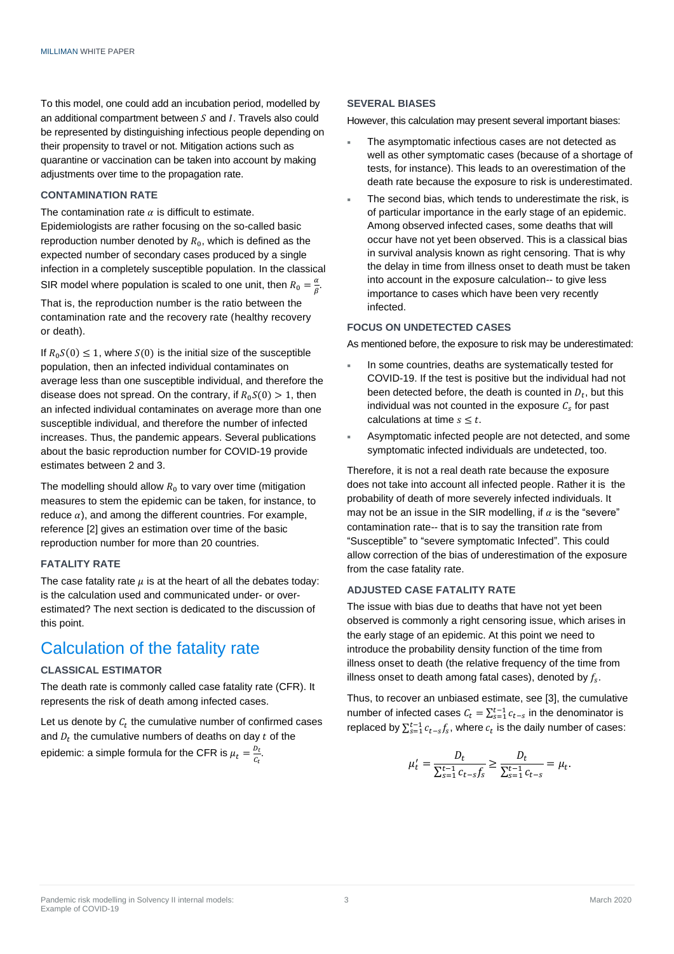To this model, one could add an incubation period, modelled by an additional compartment between  $S$  and  $I$ . Travels also could be represented by distinguishing infectious people depending on their propensity to travel or not. Mitigation actions such as quarantine or vaccination can be taken into account by making adjustments over time to the propagation rate.

### **CONTAMINATION RATE**

The contamination rate  $\alpha$  is difficult to estimate. Epidemiologists are rather focusing on the so-called basic reproduction number denoted by  $R_0$ , which is defined as the expected number of secondary cases produced by a single infection in a completely susceptible population. In the classical SIR model where population is scaled to one unit, then  $R_0 = \frac{a}{\rho}$  $\frac{a}{\beta}$ .

That is, the reproduction number is the ratio between the contamination rate and the recovery rate (healthy recovery or death).

If  $R_0S(0) \leq 1$ , where  $S(0)$  is the initial size of the susceptible population, then an infected individual contaminates on average less than one susceptible individual, and therefore the disease does not spread. On the contrary, if  $R_0S(0) > 1$ , then an infected individual contaminates on average more than one susceptible individual, and therefore the number of infected increases. Thus, the pandemic appears. Several publications about the basic reproduction number for COVID-19 provide estimates between 2 and 3.

The modelling should allow  $R_0$  to vary over time (mitigation measures to stem the epidemic can be taken, for instance, to reduce  $\alpha$ ), and among the different countries. For example, reference [2] gives an estimation over time of the basic reproduction number for more than 20 countries.

### **FATALITY RATE**

The case fatality rate  $\mu$  is at the heart of all the debates today: is the calculation used and communicated under- or overestimated? The next section is dedicated to the discussion of this point.

## Calculation of the fatality rate

#### **CLASSICAL ESTIMATOR**

The death rate is commonly called case fatality rate (CFR). It represents the risk of death among infected cases.

Let us denote by  $c_t$  the cumulative number of confirmed cases and  $D_t$  the cumulative numbers of deaths on day  $t$  of the epidemic: a simple formula for the CFR is  $\mu_t = \frac{D_t}{C}$  $\frac{D_t}{C_t}$ .

#### **SEVERAL BIASES**

However, this calculation may present several important biases:

- The asymptomatic infectious cases are not detected as well as other symptomatic cases (because of a shortage of tests, for instance). This leads to an overestimation of the death rate because the exposure to risk is underestimated.
- The second bias, which tends to underestimate the risk, is of particular importance in the early stage of an epidemic. Among observed infected cases, some deaths that will occur have not yet been observed. This is a classical bias in survival analysis known as right censoring. That is why the delay in time from illness onset to death must be taken into account in the exposure calculation-- to give less importance to cases which have been very recently infected.

#### **FOCUS ON UNDETECTED CASES**

As mentioned before, the exposure to risk may be underestimated:

- In some countries, deaths are systematically tested for COVID-19. If the test is positive but the individual had not been detected before, the death is counted in  $D_t$ , but this individual was not counted in the exposure  $C_s$  for past calculations at time  $s \leq t$ .
- Asymptomatic infected people are not detected, and some symptomatic infected individuals are undetected, too.

Therefore, it is not a real death rate because the exposure does not take into account all infected people. Rather it is the probability of death of more severely infected individuals. It may not be an issue in the SIR modelling, if  $\alpha$  is the "severe" contamination rate-- that is to say the transition rate from "Susceptible" to "severe symptomatic Infected". This could allow correction of the bias of underestimation of the exposure from the case fatality rate.

### **ADJUSTED CASE FATALITY RATE**

The issue with bias due to deaths that have not yet been observed is commonly a right censoring issue, which arises in the early stage of an epidemic. At this point we need to introduce the probability density function of the time from illness onset to death (the relative frequency of the time from illness onset to death among fatal cases), denoted by  $f_{\rm s}.$ 

Thus, to recover an unbiased estimate, see [3], the cumulative number of infected cases  $C_t = \sum_{s=1}^{t-1} c_{t-s}$  in the denominator is replaced by  $\sum_{s=1}^{t-1} c_{t-s} f_s$ , where  $c_t$  is the daily number of cases:

$$
\mu'_t = \frac{D_t}{\sum_{s=1}^{t-1} c_{t-s} f_s} \ge \frac{D_t}{\sum_{s=1}^{t-1} c_{t-s}} = \mu_t.
$$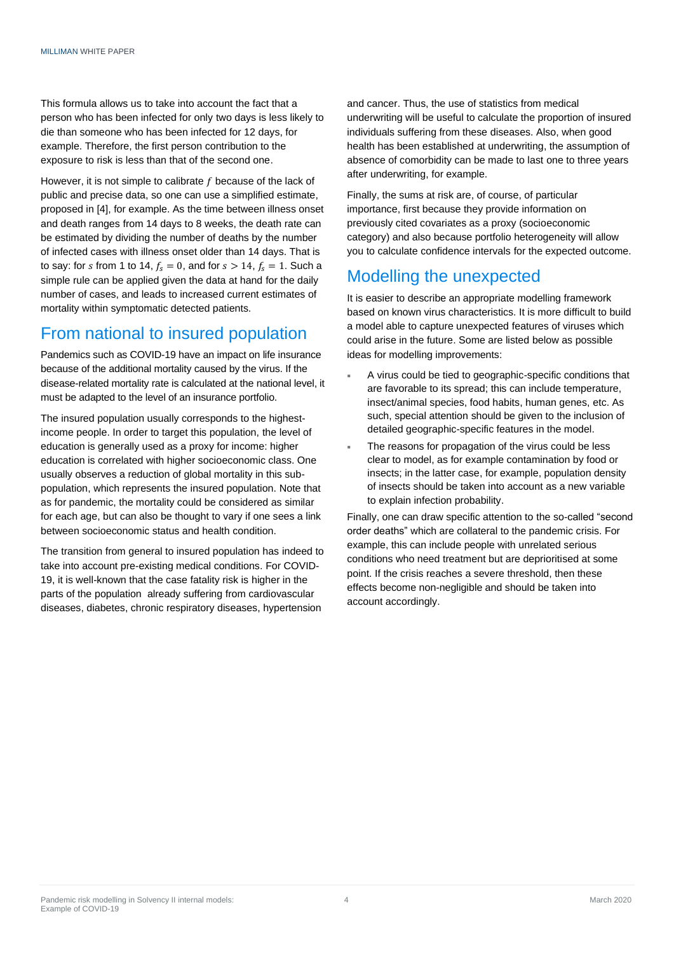This formula allows us to take into account the fact that a person who has been infected for only two days is less likely to die than someone who has been infected for 12 days, for example. Therefore, the first person contribution to the exposure to risk is less than that of the second one.

However, it is not simple to calibrate  $f$  because of the lack of public and precise data, so one can use a simplified estimate, proposed in [4], for example. As the time between illness onset and death ranges from 14 days to 8 weeks, the death rate can be estimated by dividing the number of deaths by the number of infected cases with illness onset older than 14 days. That is to say: for s from 1 to 14,  $f_s = 0$ , and for  $s > 14$ ,  $f_s = 1$ . Such a simple rule can be applied given the data at hand for the daily number of cases, and leads to increased current estimates of mortality within symptomatic detected patients.

## From national to insured population

Pandemics such as COVID-19 have an impact on life insurance because of the additional mortality caused by the virus. If the disease-related mortality rate is calculated at the national level, it must be adapted to the level of an insurance portfolio.

The insured population usually corresponds to the highestincome people. In order to target this population, the level of education is generally used as a proxy for income: higher education is correlated with higher socioeconomic class. One usually observes a reduction of global mortality in this subpopulation, which represents the insured population. Note that as for pandemic, the mortality could be considered as similar for each age, but can also be thought to vary if one sees a link between socioeconomic status and health condition.

The transition from general to insured population has indeed to take into account pre-existing medical conditions. For COVID-19, it is well-known that the case fatality risk is higher in the parts of the population already suffering from cardiovascular diseases, diabetes, chronic respiratory diseases, hypertension

and cancer. Thus, the use of statistics from medical underwriting will be useful to calculate the proportion of insured individuals suffering from these diseases. Also, when good health has been established at underwriting, the assumption of absence of comorbidity can be made to last one to three years after underwriting, for example.

Finally, the sums at risk are, of course, of particular importance, first because they provide information on previously cited covariates as a proxy (socioeconomic category) and also because portfolio heterogeneity will allow you to calculate confidence intervals for the expected outcome.

# Modelling the unexpected

It is easier to describe an appropriate modelling framework based on known virus characteristics. It is more difficult to build a model able to capture unexpected features of viruses which could arise in the future. Some are listed below as possible ideas for modelling improvements:

- A virus could be tied to geographic-specific conditions that are favorable to its spread; this can include temperature, insect/animal species, food habits, human genes, etc. As such, special attention should be given to the inclusion of detailed geographic-specific features in the model.
- The reasons for propagation of the virus could be less clear to model, as for example contamination by food or insects; in the latter case, for example, population density of insects should be taken into account as a new variable to explain infection probability.

Finally, one can draw specific attention to the so-called "second order deaths" which are collateral to the pandemic crisis. For example, this can include people with unrelated serious conditions who need treatment but are deprioritised at some point. If the crisis reaches a severe threshold, then these effects become non-negligible and should be taken into account accordingly.